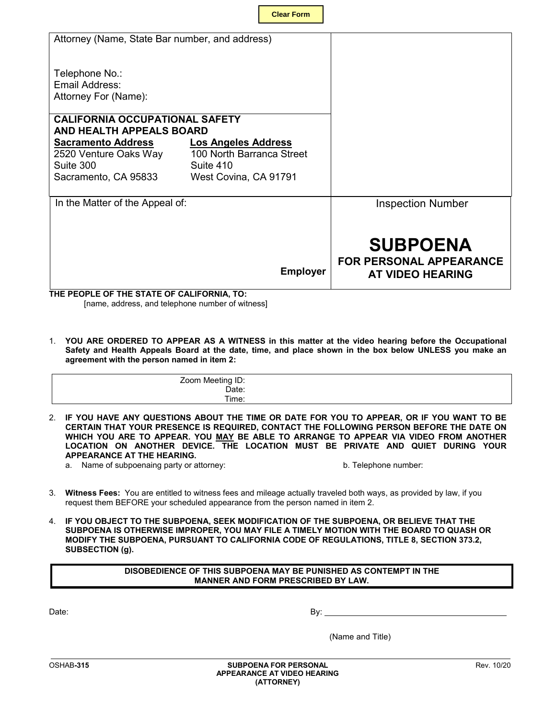| <b>Clear Form</b> |  |
|-------------------|--|
|-------------------|--|

| Attorney (Name, State Bar number, and address)  |                            |                                |
|-------------------------------------------------|----------------------------|--------------------------------|
|                                                 |                            |                                |
|                                                 |                            |                                |
| Telephone No.:                                  |                            |                                |
| Email Address:                                  |                            |                                |
| Attorney For (Name):                            |                            |                                |
|                                                 |                            |                                |
| <b>CALIFORNIA OCCUPATIONAL SAFETY</b>           |                            |                                |
| <b>AND HEALTH APPEALS BOARD</b>                 |                            |                                |
| <b>Sacramento Address</b>                       | <b>Los Angeles Address</b> |                                |
| 2520 Venture Oaks Way 100 North Barranca Street |                            |                                |
| Suite 300                                       | Suite 410                  |                                |
|                                                 |                            |                                |
| Sacramento, CA 95833                            | West Covina, CA 91791      |                                |
|                                                 |                            |                                |
| In the Matter of the Appeal of:                 |                            | <b>Inspection Number</b>       |
|                                                 |                            |                                |
|                                                 |                            |                                |
|                                                 |                            | <b>SUBPOENA</b>                |
|                                                 |                            |                                |
|                                                 |                            | <b>FOR PERSONAL APPEARANCE</b> |
|                                                 | <b>Employer</b>            | <b>AT VIDEO HEARING</b>        |
|                                                 |                            |                                |
| THE PEOPLE OF THE STATE OF CALIFORNIA, TO:      |                            |                                |

[name, address, and telephone number of witness]

**YOU ARE ORDERED TO APPEAR AS A WITNESS in this matter at the video hearing before the Occupational**  1. **Safety and Health Appeals Board at the date, time, and place shown in the box below UNLESS you make an agreement with the person named in item 2:** 

| Zoom Meeting ID: |  |
|------------------|--|
| Date:            |  |
| Time.            |  |

2. **IF YOU HAVE ANY QUESTIONS ABOUT THE TIME OR DATE FOR YOU TO APPEAR, OR IF YOU WANT TO BE CERTAIN THAT YOUR PRESENCE IS REQUIRED, CONTACT THE FOLLOWING PERSON BEFORE THE DATE ON WHICH YOU ARE TO APPEAR. YOU MAY BE ABLE TO ARRANGE TO APPEAR VIA VIDEO FROM ANOTHER LOCATION ON ANOTHER DEVICE. THE LOCATION MUST BE PRIVATE AND QUIET DURING YOUR APPEARANCE AT THE HEARING.**

a. Name of subpoenaing party or attorney:

b. Telephone number:

- 3. **Witness Fees:** You are entitled to witness fees and mileage actually traveled both ways, as provided by law, if you request them BEFORE your scheduled appearance from the person named in item 2.
- 4. **IF YOU OBJECT TO THE SUBPOENA, SEEK MODIFICATION OF THE SUBPOENA, OR BELIEVE THAT THE SUBPOENA IS OTHERWISE IMPROPER, YOU MAY FILE A TIMELY MOTION WITH THE BOARD TO QUASH OR MODIFY THE SUBPOENA, PURSUANT TO CALIFORNIA CODE OF REGULATIONS, TITLE 8, SECTION 373.2, SUBSECTION (g).**

## **DISOBEDIENCE OF THIS SUBPOENA MAY BE PUNISHED AS CONTEMPT IN THE MANNER AND FORM PRESCRIBED BY LAW.**

Date: By:

(Name and Title)